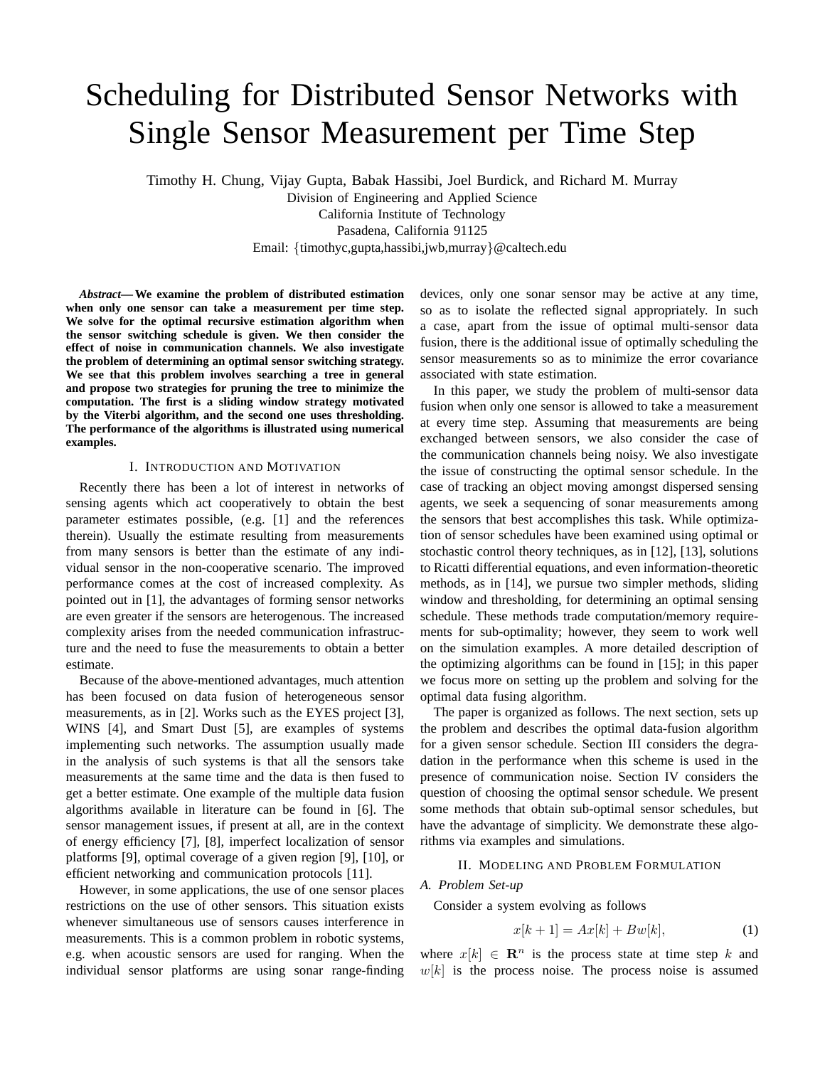# Scheduling for Distributed Sensor Networks with Single Sensor Measurement per Time Step

Timothy H. Chung, Vijay Gupta, Babak Hassibi, Joel Burdick, and Richard M. Murray Division of Engineering and Applied Science California Institute of Technology Pasadena, California 91125 Email: {timothyc,gupta,hassibi,jwb,murray}@caltech.edu

*Abstract***— We examine the problem of distributed estimation when only one sensor can take a measurement per time step. We solve for the optimal recursive estimation algorithm when the sensor switching schedule is given. We then consider the effect of noise in communication channels. We also investigate the problem of determining an optimal sensor switching strategy. We see that this problem involves searching a tree in general and propose two strategies for pruning the tree to minimize the computation. The first is a sliding window strategy motivated by the Viterbi algorithm, and the second one uses thresholding. The performance of the algorithms is illustrated using numerical examples.**

## I. INTRODUCTION AND MOTIVATION

Recently there has been a lot of interest in networks of sensing agents which act cooperatively to obtain the best parameter estimates possible, (e.g. [1] and the references therein). Usually the estimate resulting from measurements from many sensors is better than the estimate of any individual sensor in the non-cooperative scenario. The improved performance comes at the cost of increased complexity. As pointed out in [1], the advantages of forming sensor networks are even greater if the sensors are heterogenous. The increased complexity arises from the needed communication infrastructure and the need to fuse the measurements to obtain a better estimate.

Because of the above-mentioned advantages, much attention has been focused on data fusion of heterogeneous sensor measurements, as in [2]. Works such as the EYES project [3], WINS [4], and Smart Dust [5], are examples of systems implementing such networks. The assumption usually made in the analysis of such systems is that all the sensors take measurements at the same time and the data is then fused to get a better estimate. One example of the multiple data fusion algorithms available in literature can be found in [6]. The sensor management issues, if present at all, are in the context of energy efficiency [7], [8], imperfect localization of sensor platforms [9], optimal coverage of a given region [9], [10], or efficient networking and communication protocols [11].

However, in some applications, the use of one sensor places restrictions on the use of other sensors. This situation exists whenever simultaneous use of sensors causes interference in measurements. This is a common problem in robotic systems, e.g. when acoustic sensors are used for ranging. When the individual sensor platforms are using sonar range-finding

devices, only one sonar sensor may be active at any time, so as to isolate the reflected signal appropriately. In such a case, apart from the issue of optimal multi-sensor data fusion, there is the additional issue of optimally scheduling the sensor measurements so as to minimize the error covariance associated with state estimation.

In this paper, we study the problem of multi-sensor data fusion when only one sensor is allowed to take a measurement at every time step. Assuming that measurements are being exchanged between sensors, we also consider the case of the communication channels being noisy. We also investigate the issue of constructing the optimal sensor schedule. In the case of tracking an object moving amongst dispersed sensing agents, we seek a sequencing of sonar measurements among the sensors that best accomplishes this task. While optimization of sensor schedules have been examined using optimal or stochastic control theory techniques, as in [12], [13], solutions to Ricatti differential equations, and even information-theoretic methods, as in [14], we pursue two simpler methods, sliding window and thresholding, for determining an optimal sensing schedule. These methods trade computation/memory requirements for sub-optimality; however, they seem to work well on the simulation examples. A more detailed description of the optimizing algorithms can be found in [15]; in this paper we focus more on setting up the problem and solving for the optimal data fusing algorithm.

The paper is organized as follows. The next section, sets up the problem and describes the optimal data-fusion algorithm for a given sensor schedule. Section III considers the degradation in the performance when this scheme is used in the presence of communication noise. Section IV considers the question of choosing the optimal sensor schedule. We present some methods that obtain sub-optimal sensor schedules, but have the advantage of simplicity. We demonstrate these algorithms via examples and simulations.

## II. MODELING AND PROBLEM FORMULATION

## *A. Problem Set-up*

Consider a system evolving as follows

$$
x[k+1] = Ax[k] + Bw[k],\tag{1}
$$

where  $x[k] \in \mathbb{R}^n$  is the process state at time step k and  $w[k]$  is the process noise. The process noise is assumed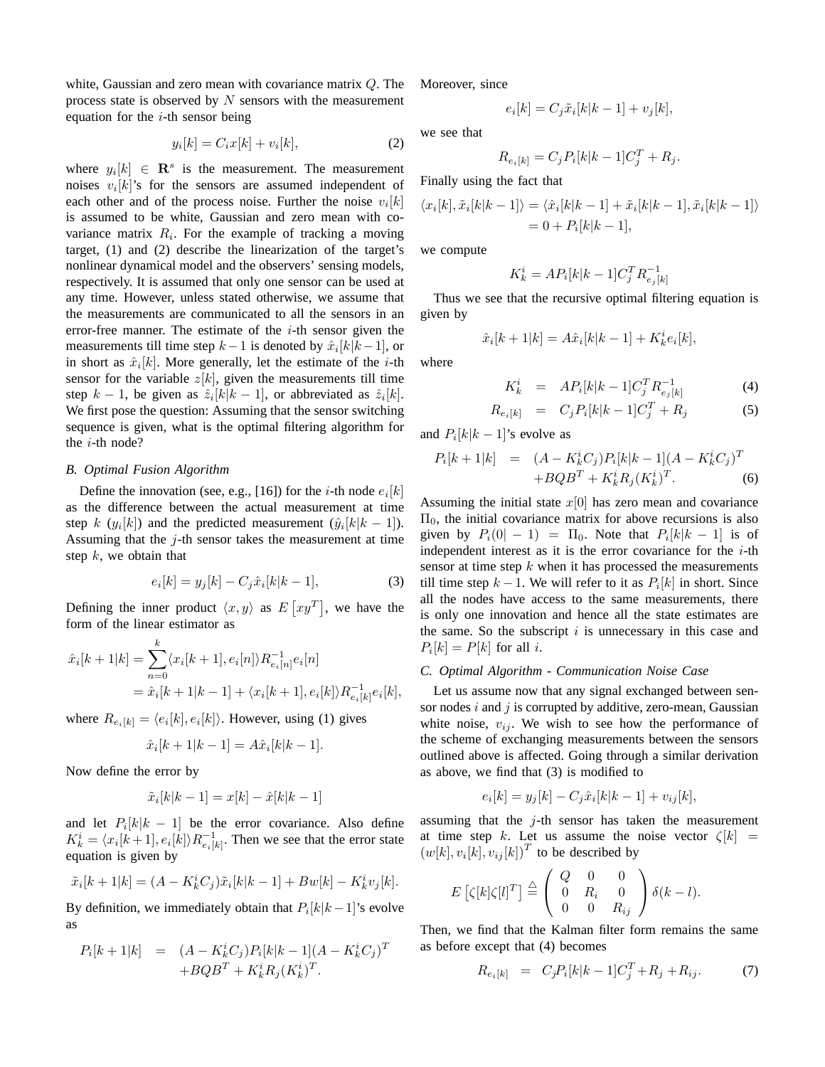white, Gaussian and zero mean with covariance matrix Q. The process state is observed by  $N$  sensors with the measurement equation for the  $i$ -th sensor being

$$
y_i[k] = C_i x[k] + v_i[k],\tag{2}
$$

where  $y_i[k] \in \mathbb{R}^s$  is the measurement. The measurement noises  $v_i[k]$ 's for the sensors are assumed independent of each other and of the process noise. Further the noise  $v_i[k]$ is assumed to be white, Gaussian and zero mean with covariance matrix  $R_i$ . For the example of tracking a moving target, (1) and (2) describe the linearization of the target's nonlinear dynamical model and the observers' sensing models, respectively. It is assumed that only one sensor can be used at any time. However, unless stated otherwise, we assume that the measurements are communicated to all the sensors in an error-free manner. The estimate of the  $i$ -th sensor given the measurements till time step  $k-1$  is denoted by  $\hat{x}_i[k|k-1]$ , or in short as  $\hat{x}_i[k]$ . More generally, let the estimate of the *i*-th sensor for the variable  $z[k]$ , given the measurements till time step  $k-1$ , be given as  $\hat{z}_i[k|k-1]$ , or abbreviated as  $\hat{z}_i[k]$ . We first pose the question: Assuming that the sensor switching sequence is given, what is the optimal filtering algorithm for the i-th node?

## *B. Optimal Fusion Algorithm*

Define the innovation (see, e.g., [16]) for the *i*-th node  $e_i[k]$ as the difference between the actual measurement at time step k ( $y_i[k]$ ) and the predicted measurement ( $\hat{y}_i[k|k-1]$ ). Assuming that the  $j$ -th sensor takes the measurement at time step  $k$ , we obtain that

$$
e_i[k] = y_j[k] - C_j \hat{x}_i[k|k-1],
$$
\n(3)

Defining the inner product  $\langle x, y \rangle$  as  $E[xy^T]$ , we have the form of the linear estimator as

$$
\hat{x}_i[k+1|k] = \sum_{n=0}^k \langle x_i[k+1], e_i[n] \rangle R_{e_i[n]}^{-1} e_i[n]
$$
  
=  $\hat{x}_i[k+1|k-1] + \langle x_i[k+1], e_i[k] \rangle R_{e_i[k]}^{-1} e_i[k],$ 

where  $R_{e_i[k]} = \langle e_i[k], e_i[k] \rangle$ . However, using (1) gives

$$
\hat{x}_i[k+1|k-1] = A\hat{x}_i[k|k-1].
$$

Now define the error by

$$
\tilde{x}_i[k|k-1] = x[k] - \hat{x}[k|k-1]
$$

and let  $P_i[k|k-1]$  be the error covariance. Also define  $K_k^i = \langle x_i[k+1], e_i[k] \rangle R_{e_i[k]}^{-1}$  $e_{i}[k]$ . Then we see that the error state equation is given by

$$
\tilde{x}_i[k+1|k] = (A - K_k^i C_j)\tilde{x}_i[k|k-1] + Bw[k] - K_k^i v_j[k].
$$

By definition, we immediately obtain that  $P_i[k|k-1]$ 's evolve as

$$
P_i[k+1|k] = (A - K_k^i C_j) P_i[k|k-1](A - K_k^i C_j)^T + BQB^T + K_k^i R_j (K_k^i)^T.
$$

Moreover, since

$$
e_i[k] = C_j \tilde{x}_i[k|k-1] + v_j[k],
$$

we see that

$$
R_{e_i[k]} = C_j P_i[k|k-1]C_j^T + R_j.
$$

Finally using the fact that

$$
\langle x_i[k], \tilde{x}_i[k|k-1] \rangle = \langle \hat{x}_i[k|k-1] + \tilde{x}_i[k|k-1], \tilde{x}_i[k|k-1] \rangle
$$
  
= 0 + P<sub>i</sub>[k|k-1],

we compute

$$
K_k^i = AP_i[k|k-1]C_j^T R_{e_j[k]}^{-1}
$$

Thus we see that the recursive optimal filtering equation is given by

$$
\hat{x}_i[k+1|k] = A\hat{x}_i[k|k-1] + K_k^i e_i[k],
$$

where

$$
K_k^i = AP_i[k|k-1]C_j^T R_{e_j[k]}^{-1}
$$
 (4)

$$
R_{e_i[k]} = C_j P_i[k|k-1]C_j^T + R_j \tag{5}
$$

and  $P_i[k|k-1]$ 's evolve as

$$
P_i[k+1|k] = (A - K_k^i C_j) P_i[k|k-1](A - K_k^i C_j)^T
$$
  
+
$$
+ BQB^T + K_k^i R_j (K_k^i)^T.
$$
 (6)

Assuming the initial state  $x[0]$  has zero mean and covariance  $\Pi_0$ , the initial covariance matrix for above recursions is also given by  $P_i(0|-1) = \Pi_0$ . Note that  $P_i[k|k-1]$  is of independent interest as it is the error covariance for the  $i$ -th sensor at time step  $k$  when it has processed the measurements till time step  $k-1$ . We will refer to it as  $P_i[k]$  in short. Since all the nodes have access to the same measurements, there is only one innovation and hence all the state estimates are the same. So the subscript  $i$  is unnecessary in this case and  $P_i[k] = P[k]$  for all *i*.

#### *C. Optimal Algorithm - Communication Noise Case*

Let us assume now that any signal exchanged between sensor nodes  $i$  and  $j$  is corrupted by additive, zero-mean, Gaussian white noise,  $v_{ij}$ . We wish to see how the performance of the scheme of exchanging measurements between the sensors outlined above is affected. Going through a similar derivation as above, we find that (3) is modified to

$$
e_i[k] = y_j[k] - C_j \hat{x}_i[k|k-1] + v_{ij}[k],
$$

assuming that the  $j$ -th sensor has taken the measurement at time step k. Let us assume the noise vector  $\zeta[k]$  =  $(w[k], v_i[k], v_{ij}[k])^T$  to be described by

$$
E\left[\zeta[k]\zeta[l]^T\right] \stackrel{\triangle}{=} \left(\begin{array}{ccc} Q & 0 & 0 \\ 0 & R_i & 0 \\ 0 & 0 & R_{ij} \end{array}\right) \delta(k-l).
$$

Then, we find that the Kalman filter form remains the same as before except that (4) becomes

$$
R_{e_i[k]} = C_j P_i[k|k-1]C_j^T + R_j + R_{ij}.
$$
 (7)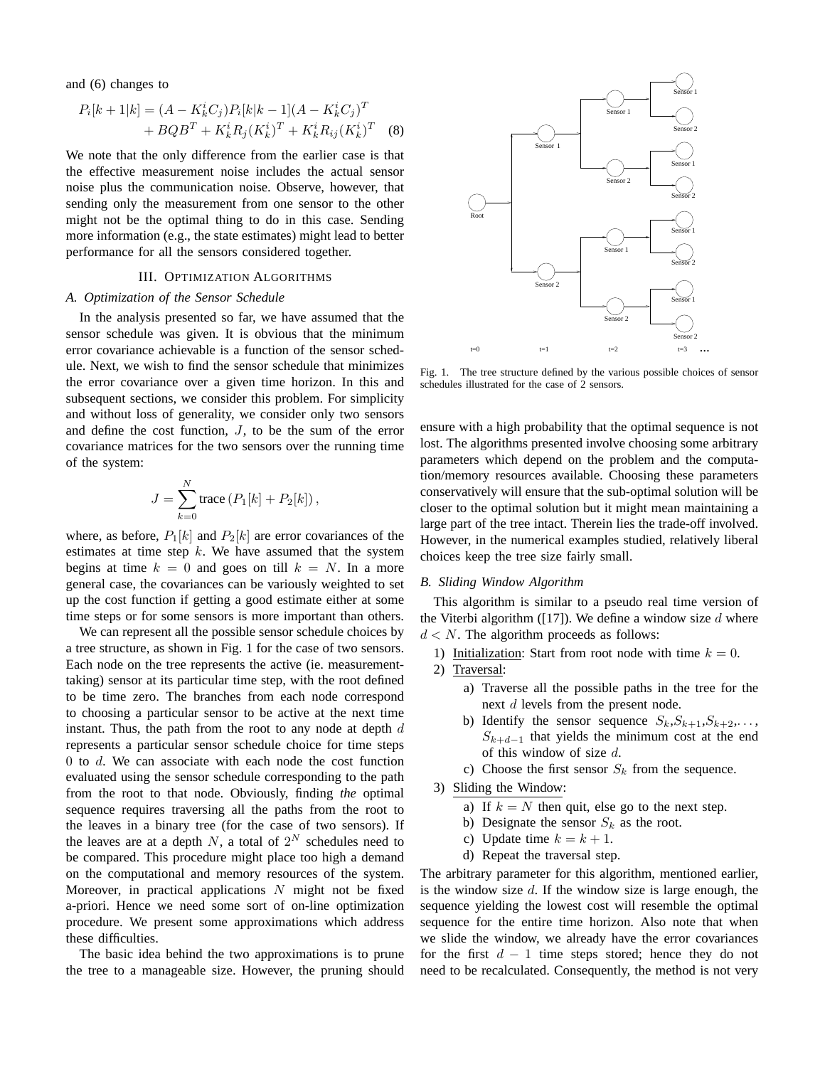and (6) changes to

$$
P_i[k+1|k] = (A - K_k^i C_j) P_i[k|k-1](A - K_k^i C_j)^T
$$
  
+ 
$$
BQB^T + K_k^i R_j (K_k^i)^T + K_k^i R_{ij} (K_k^i)^T
$$
 (8)

We note that the only difference from the earlier case is that the effective measurement noise includes the actual sensor noise plus the communication noise. Observe, however, that sending only the measurement from one sensor to the other might not be the optimal thing to do in this case. Sending more information (e.g., the state estimates) might lead to better performance for all the sensors considered together.

## III. OPTIMIZATION ALGORITHMS

#### *A. Optimization of the Sensor Schedule*

In the analysis presented so far, we have assumed that the sensor schedule was given. It is obvious that the minimum error covariance achievable is a function of the sensor schedule. Next, we wish to find the sensor schedule that minimizes the error covariance over a given time horizon. In this and subsequent sections, we consider this problem. For simplicity and without loss of generality, we consider only two sensors and define the cost function,  $J$ , to be the sum of the error covariance matrices for the two sensors over the running time of the system:

$$
J = \sum_{k=0}^{N} \text{trace} (P_1[k] + P_2[k]),
$$

where, as before,  $P_1[k]$  and  $P_2[k]$  are error covariances of the estimates at time step  $k$ . We have assumed that the system begins at time  $k = 0$  and goes on till  $k = N$ . In a more general case, the covariances can be variously weighted to set up the cost function if getting a good estimate either at some time steps or for some sensors is more important than others.

We can represent all the possible sensor schedule choices by a tree structure, as shown in Fig. 1 for the case of two sensors. Each node on the tree represents the active (ie. measurementtaking) sensor at its particular time step, with the root defined to be time zero. The branches from each node correspond to choosing a particular sensor to be active at the next time instant. Thus, the path from the root to any node at depth  $d$ represents a particular sensor schedule choice for time steps 0 to d. We can associate with each node the cost function evaluated using the sensor schedule corresponding to the path from the root to that node. Obviously, finding *the* optimal sequence requires traversing all the paths from the root to the leaves in a binary tree (for the case of two sensors). If the leaves are at a depth N, a total of  $2^N$  schedules need to be compared. This procedure might place too high a demand on the computational and memory resources of the system. Moreover, in practical applications  $N$  might not be fixed a-priori. Hence we need some sort of on-line optimization procedure. We present some approximations which address these difficulties.

The basic idea behind the two approximations is to prune the tree to a manageable size. However, the pruning should



Fig. 1. The tree structure defined by the various possible choices of sensor schedules illustrated for the case of 2 sensors.

ensure with a high probability that the optimal sequence is not lost. The algorithms presented involve choosing some arbitrary parameters which depend on the problem and the computation/memory resources available. Choosing these parameters conservatively will ensure that the sub-optimal solution will be closer to the optimal solution but it might mean maintaining a large part of the tree intact. Therein lies the trade-off involved. However, in the numerical examples studied, relatively liberal choices keep the tree size fairly small.

## *B. Sliding Window Algorithm*

This algorithm is similar to a pseudo real time version of the Viterbi algorithm ([17]). We define a window size  $d$  where  $d \leq N$ . The algorithm proceeds as follows:

- 1) Initialization: Start from root node with time  $k = 0$ .
- 2) Traversal:
	- a) Traverse all the possible paths in the tree for the next d levels from the present node.
	- b) Identify the sensor sequence  $S_k, S_{k+1}, S_{k+2}, \ldots$  $S_{k+d-1}$  that yields the minimum cost at the end of this window of size  $d$ .
	- c) Choose the first sensor  $S_k$  from the sequence.
- 3) Sliding the Window:
	- a) If  $k = N$  then quit, else go to the next step.
	- b) Designate the sensor  $S_k$  as the root.
	- c) Update time  $k = k + 1$ .
	- d) Repeat the traversal step.

The arbitrary parameter for this algorithm, mentioned earlier, is the window size  $d$ . If the window size is large enough, the sequence yielding the lowest cost will resemble the optimal sequence for the entire time horizon. Also note that when we slide the window, we already have the error covariances for the first  $d - 1$  time steps stored; hence they do not need to be recalculated. Consequently, the method is not very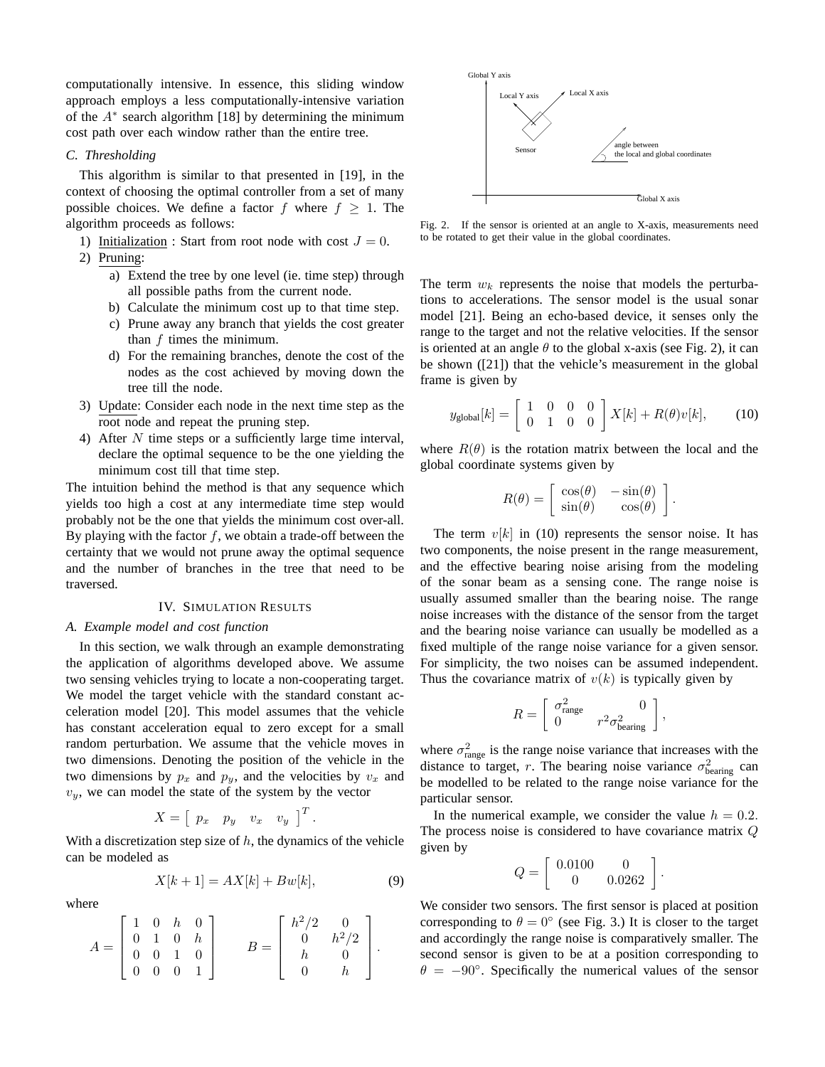computationally intensive. In essence, this sliding window approach employs a less computationally-intensive variation of the  $A^*$  search algorithm [18] by determining the minimum cost path over each window rather than the entire tree.

## *C. Thresholding*

This algorithm is similar to that presented in [19], in the context of choosing the optimal controller from a set of many possible choices. We define a factor f where  $f \geq 1$ . The algorithm proceeds as follows:

- 1) Initialization : Start from root node with cost  $J = 0$ .
- 2) Pruning:
	- a) Extend the tree by one level (ie. time step) through all possible paths from the current node.
	- b) Calculate the minimum cost up to that time step.
	- c) Prune away any branch that yields the cost greater than  $f$  times the minimum.
	- d) For the remaining branches, denote the cost of the nodes as the cost achieved by moving down the tree till the node.
- 3) Update: Consider each node in the next time step as the root node and repeat the pruning step.
- 4) After N time steps or a sufficiently large time interval, declare the optimal sequence to be the one yielding the minimum cost till that time step.

The intuition behind the method is that any sequence which yields too high a cost at any intermediate time step would probably not be the one that yields the minimum cost over-all. By playing with the factor  $f$ , we obtain a trade-off between the certainty that we would not prune away the optimal sequence and the number of branches in the tree that need to be traversed.

## IV. SIMULATION RESULTS

#### *A. Example model and cost function*

In this section, we walk through an example demonstrating the application of algorithms developed above. We assume two sensing vehicles trying to locate a non-cooperating target. We model the target vehicle with the standard constant acceleration model [20]. This model assumes that the vehicle has constant acceleration equal to zero except for a small random perturbation. We assume that the vehicle moves in two dimensions. Denoting the position of the vehicle in the two dimensions by  $p_x$  and  $p_y$ , and the velocities by  $v_x$  and  $v_y$ , we can model the state of the system by the vector

$$
X = \left[ \begin{array}{ccc} p_x & p_y & v_x & v_y \end{array} \right]^T.
$$

With a discretization step size of  $h$ , the dynamics of the vehicle can be modeled as

 $X[k+1] = AX[k] + Bw[k],$  (9)

where

$$
A = \begin{bmatrix} 1 & 0 & h & 0 \\ 0 & 1 & 0 & h \\ 0 & 0 & 1 & 0 \\ 0 & 0 & 0 & 1 \end{bmatrix} \qquad B = \begin{bmatrix} h^2/2 & 0 \\ 0 & h^2/2 \\ h & 0 \\ 0 & h \end{bmatrix}.
$$



Fig. 2. If the sensor is oriented at an angle to X-axis, measurements need to be rotated to get their value in the global coordinates.

The term  $w_k$  represents the noise that models the perturbations to accelerations. The sensor model is the usual sonar model [21]. Being an echo-based device, it senses only the range to the target and not the relative velocities. If the sensor is oriented at an angle  $\theta$  to the global x-axis (see Fig. 2), it can be shown ([21]) that the vehicle's measurement in the global frame is given by

$$
y_{\text{global}}[k] = \begin{bmatrix} 1 & 0 & 0 & 0 \\ 0 & 1 & 0 & 0 \end{bmatrix} X[k] + R(\theta)v[k], \quad (10)
$$

where  $R(\theta)$  is the rotation matrix between the local and the global coordinate systems given by

$$
R(\theta) = \begin{bmatrix} \cos(\theta) & -\sin(\theta) \\ \sin(\theta) & \cos(\theta) \end{bmatrix}.
$$

The term  $v[k]$  in (10) represents the sensor noise. It has two components, the noise present in the range measurement, and the effective bearing noise arising from the modeling of the sonar beam as a sensing cone. The range noise is usually assumed smaller than the bearing noise. The range noise increases with the distance of the sensor from the target and the bearing noise variance can usually be modelled as a fixed multiple of the range noise variance for a given sensor. For simplicity, the two noises can be assumed independent. Thus the covariance matrix of  $v(k)$  is typically given by

$$
R = \begin{bmatrix} \sigma_{\text{range}}^2 & 0 \\ 0 & r^2 \sigma_{\text{bearing}}^2 \end{bmatrix},
$$

where  $\sigma_{\text{range}}^2$  is the range noise variance that increases with the distance to target, r. The bearing noise variance  $\sigma_{\text{bearing}}^2$  can be modelled to be related to the range noise variance for the particular sensor.

In the numerical example, we consider the value  $h = 0.2$ . The process noise is considered to have covariance matrix Q given by

$$
Q=\left[\begin{array}{cc}0.0100&0\\0&0.0262\end{array}\right]
$$

.

We consider two sensors. The first sensor is placed at position corresponding to  $\theta = 0^{\circ}$  (see Fig. 3.) It is closer to the target and accordingly the range noise is comparatively smaller. The second sensor is given to be at a position corresponding to  $\theta = -90^\circ$ . Specifically the numerical values of the sensor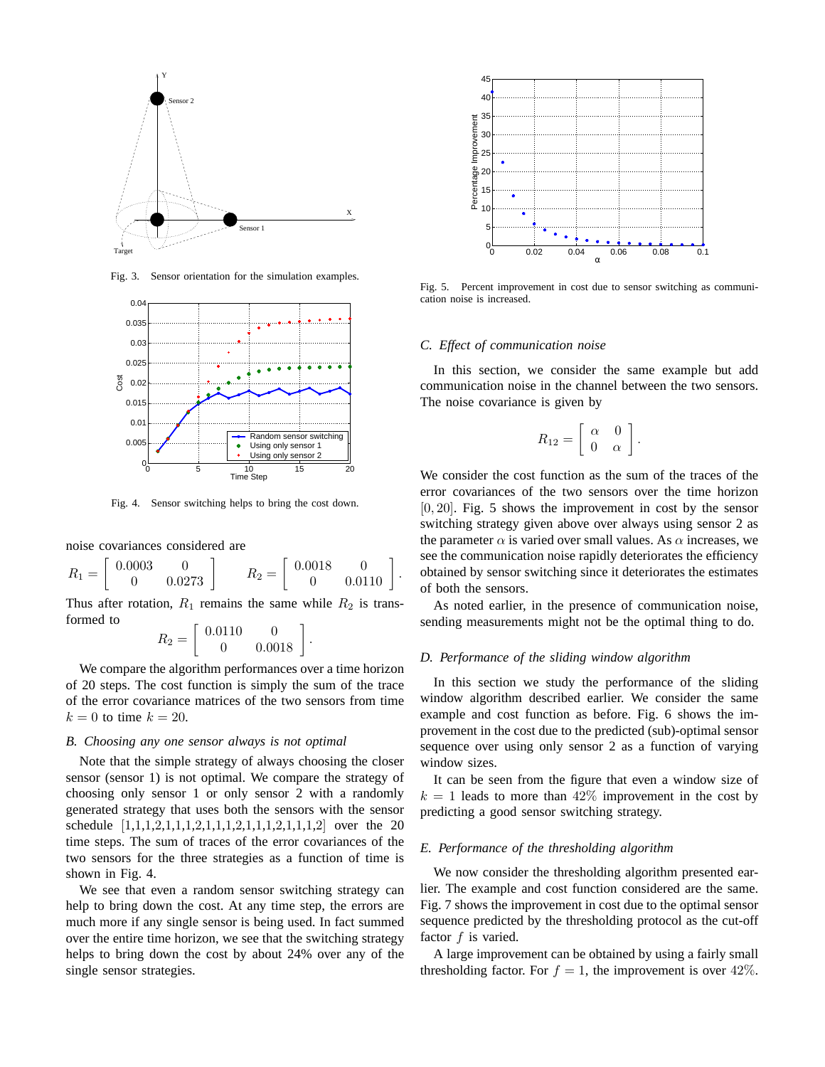

Fig. 3. Sensor orientation for the simulation examples.



Fig. 4. Sensor switching helps to bring the cost down.

noise covariances considered are

$$
R_1 = \left[ \begin{array}{cc} 0.0003 & 0 \\ 0 & 0.0273 \end{array} \right] \qquad R_2 = \left[ \begin{array}{cc} 0.0018 & 0 \\ 0 & 0.0110 \end{array} \right].
$$

Thus after rotation,  $R_1$  remains the same while  $R_2$  is transformed to

$$
R_2 = \left[ \begin{array}{cc} 0.0110 & 0 \\ 0 & 0.0018 \end{array} \right]
$$

.

We compare the algorithm performances over a time horizon of 20 steps. The cost function is simply the sum of the trace of the error covariance matrices of the two sensors from time  $k = 0$  to time  $k = 20$ .

## *B. Choosing any one sensor always is not optimal*

Note that the simple strategy of always choosing the closer sensor (sensor 1) is not optimal. We compare the strategy of choosing only sensor 1 or only sensor 2 with a randomly generated strategy that uses both the sensors with the sensor schedule [1,1,1,2,1,1,1,2,1,1,1,2,1,1,1,2,1,1,1,2] over the 20 time steps. The sum of traces of the error covariances of the two sensors for the three strategies as a function of time is shown in Fig. 4.

We see that even a random sensor switching strategy can help to bring down the cost. At any time step, the errors are much more if any single sensor is being used. In fact summed over the entire time horizon, we see that the switching strategy helps to bring down the cost by about 24% over any of the single sensor strategies.



Fig. 5. Percent improvement in cost due to sensor switching as communication noise is increased.

#### *C. Effect of communication noise*

In this section, we consider the same example but add communication noise in the channel between the two sensors. The noise covariance is given by

$$
R_{12} = \left[ \begin{array}{cc} \alpha & 0 \\ 0 & \alpha \end{array} \right].
$$

We consider the cost function as the sum of the traces of the error covariances of the two sensors over the time horizon [0, 20]. Fig. 5 shows the improvement in cost by the sensor switching strategy given above over always using sensor 2 as the parameter  $\alpha$  is varied over small values. As  $\alpha$  increases, we see the communication noise rapidly deteriorates the efficiency obtained by sensor switching since it deteriorates the estimates of both the sensors.

As noted earlier, in the presence of communication noise, sending measurements might not be the optimal thing to do.

## *D. Performance of the sliding window algorithm*

In this section we study the performance of the sliding window algorithm described earlier. We consider the same example and cost function as before. Fig. 6 shows the improvement in the cost due to the predicted (sub)-optimal sensor sequence over using only sensor 2 as a function of varying window sizes.

It can be seen from the figure that even a window size of  $k = 1$  leads to more than  $42\%$  improvement in the cost by predicting a good sensor switching strategy.

## *E. Performance of the thresholding algorithm*

We now consider the thresholding algorithm presented earlier. The example and cost function considered are the same. Fig. 7 shows the improvement in cost due to the optimal sensor sequence predicted by the thresholding protocol as the cut-off factor  $f$  is varied.

A large improvement can be obtained by using a fairly small thresholding factor. For  $f = 1$ , the improvement is over 42%.